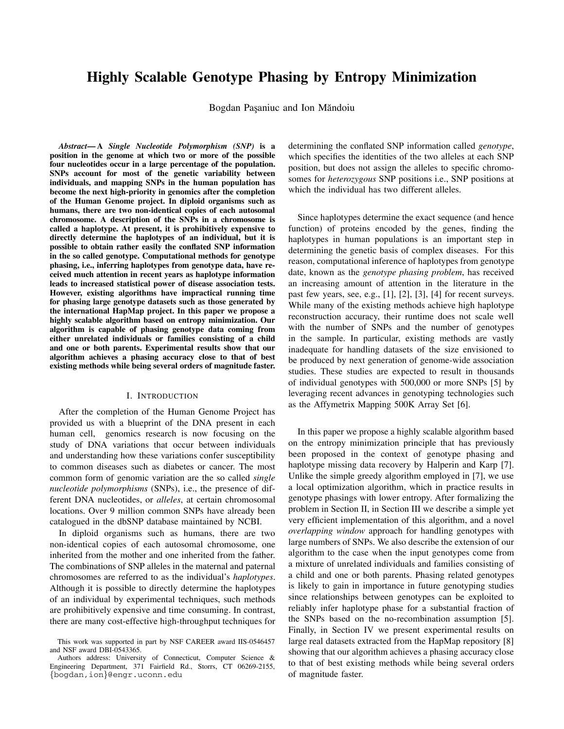# **Highly Scalable Genotype Phasing by Entropy Minimization**

Bogdan Paşaniuc and Ion Măndoiu

*Abstract***— A** *Single Nucleotide Polymorphism (SNP)* **is a position in the genome at which two or more of the possible four nucleotides occur in a large percentage of the population. SNPs account for most of the genetic variability between individuals, and mapping SNPs in the human population has become the next high-priority in genomics after the completion of the Human Genome project. In diploid organisms such as humans, there are two non-identical copies of each autosomal chromosome. A description of the SNPs in a chromosome is called a haplotype. At present, it is prohibitively expensive to directly determine the haplotypes of an individual, but it is possible to obtain rather easily the conflated SNP information in the so called genotype. Computational methods for genotype phasing, i.e., inferring haplotypes from genotype data, have received much attention in recent years as haplotype information leads to increased statistical power of disease association tests. However, existing algorithms have impractical running time for phasing large genotype datasets such as those generated by the international HapMap project. In this paper we propose a highly scalable algorithm based on entropy minimization. Our algorithm is capable of phasing genotype data coming from either unrelated individuals or families consisting of a child and one or both parents. Experimental results show that our algorithm achieves a phasing accuracy close to that of best existing methods while being several orders of magnitude faster.**

#### I. INTRODUCTION

After the completion of the Human Genome Project has provided us with a blueprint of the DNA present in each human cell, genomics research is now focusing on the study of DNA variations that occur between individuals and understanding how these variations confer susceptibility to common diseases such as diabetes or cancer. The most common form of genomic variation are the so called *single nucleotide polymorphisms* (SNPs), i.e., the presence of different DNA nucleotides, or *alleles*, at certain chromosomal locations. Over 9 million common SNPs have already been catalogued in the dbSNP database maintained by NCBI.

In diploid organisms such as humans, there are two non-identical copies of each autosomal chromosome, one inherited from the mother and one inherited from the father. The combinations of SNP alleles in the maternal and paternal chromosomes are referred to as the individual's *haplotypes*. Although it is possible to directly determine the haplotypes of an individual by experimental techniques, such methods are prohibitively expensive and time consuming. In contrast, there are many cost-effective high-throughput techniques for determining the conflated SNP information called *genotype*, which specifies the identities of the two alleles at each SNP position, but does not assign the alleles to specific chromosomes for *heterozygous* SNP positions i.e., SNP positions at which the individual has two different alleles.

Since haplotypes determine the exact sequence (and hence function) of proteins encoded by the genes, finding the haplotypes in human populations is an important step in determining the genetic basis of complex diseases. For this reason, computational inference of haplotypes from genotype date, known as the *genotype phasing problem*, has received an increasing amount of attention in the literature in the past few years, see, e.g., [1], [2], [3], [4] for recent surveys. While many of the existing methods achieve high haplotype reconstruction accuracy, their runtime does not scale well with the number of SNPs and the number of genotypes in the sample. In particular, existing methods are vastly inadequate for handling datasets of the size envisioned to be produced by next generation of genome-wide association studies. These studies are expected to result in thousands of individual genotypes with 500,000 or more SNPs [5] by leveraging recent advances in genotyping technologies such as the Affymetrix Mapping 500K Array Set [6].

In this paper we propose a highly scalable algorithm based on the entropy minimization principle that has previously been proposed in the context of genotype phasing and haplotype missing data recovery by Halperin and Karp [7]. Unlike the simple greedy algorithm employed in [7], we use a local optimization algorithm, which in practice results in genotype phasings with lower entropy. After formalizing the problem in Section II, in Section III we describe a simple yet very efficient implementation of this algorithm, and a novel *overlapping window* approach for handling genotypes with large numbers of SNPs. We also describe the extension of our algorithm to the case when the input genotypes come from a mixture of unrelated individuals and families consisting of a child and one or both parents. Phasing related genotypes is likely to gain in importance in future genotyping studies since relationships between genotypes can be exploited to reliably infer haplotype phase for a substantial fraction of the SNPs based on the no-recombination assumption [5]. Finally, in Section IV we present experimental results on large real datasets extracted from the HapMap repository [8] showing that our algorithm achieves a phasing accuracy close to that of best existing methods while being several orders of magnitude faster.

This work was supported in part by NSF CAREER award IIS-0546457 and NSF award DBI-0543365.

Authors address: University of Connecticut, Computer Science & Engineering Department, 371 Fairfield Rd., Storrs, CT 06269-2155, {bogdan,ion}@engr.uconn.edu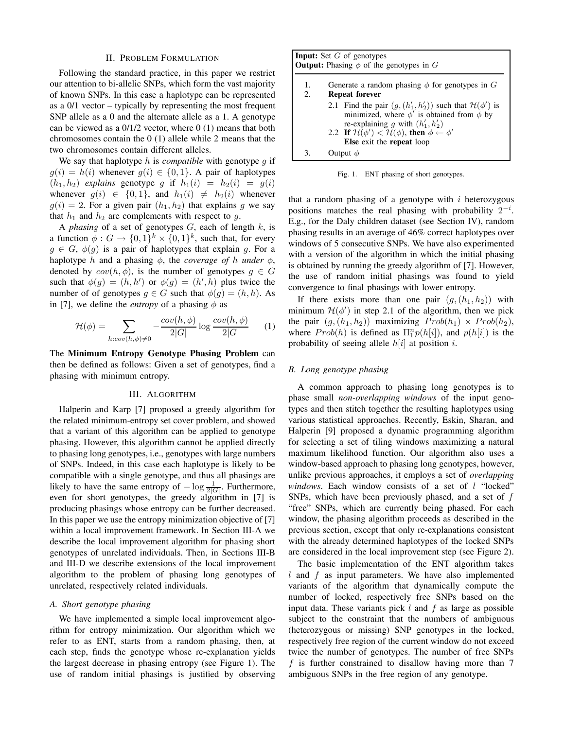#### II. PROBLEM FORMULATION

Following the standard practice, in this paper we restrict our attention to bi-allelic SNPs, which form the vast majority of known SNPs. In this case a haplotype can be represented as a 0/1 vector – typically by representing the most frequent SNP allele as a 0 and the alternate allele as a 1. A genotype can be viewed as a 0/1/2 vector, where 0 (1) means that both chromosomes contain the 0 (1) allele while 2 means that the two chromosomes contain different alleles.

We say that haplotype h is *compatible* with genotype g if  $g(i) = h(i)$  whenever  $g(i) \in \{0, 1\}$ . A pair of haplotypes  $(h_1, h_2)$  *explains* genotype g if  $h_1(i) = h_2(i) = g(i)$ whenever  $g(i) \in \{0,1\}$ , and  $h_1(i) \neq h_2(i)$  whenever  $g(i)=2$ . For a given pair  $(h_1, h_2)$  that explains g we say that  $h_1$  and  $h_2$  are complements with respect to g.

A *phasing* of a set of genotypes  $G$ , each of length  $k$ , is a function  $\phi: G \to \{0,1\}^k \times \{0,1\}^k$ , such that, for every  $g \in G$ ,  $\phi(g)$  is a pair of haplotypes that explain g. For a haplotype h and a phasing  $\phi$ , the *coverage of* h *under*  $\phi$ , denoted by  $cov(h, \phi)$ , is the number of genotypes  $g \in G$ such that  $\phi(g) = (h, h')$  or  $\phi(g) = (h', h)$  plus twice the<br>number of of genotypes  $g \in G$  such that  $\phi(g) = (h, h)$ . As number of of genotypes  $g \in G$  such that  $\phi(g)=(h, h)$ . As in [7], we define the *entropy* of a phasing  $\phi$  as

$$
\mathcal{H}(\phi) = \sum_{h:cov(h,\phi)\neq 0} -\frac{cov(h,\phi)}{2|G|} \log \frac{cov(h,\phi)}{2|G|} \qquad (1)
$$

The **Minimum Entropy Genotype Phasing Problem** can then be defined as follows: Given a set of genotypes, find a phasing with minimum entropy.

### III. ALGORITHM

Halperin and Karp [7] proposed a greedy algorithm for the related minimum-entropy set cover problem, and showed that a variant of this algorithm can be applied to genotype phasing. However, this algorithm cannot be applied directly to phasing long genotypes, i.e., genotypes with large numbers of SNPs. Indeed, in this case each haplotype is likely to be compatible with a single genotype, and thus all phasings are likely to have the same entropy of  $-\log \frac{1}{2|G|}$ . Furthermore, even for short genotypes, the greedy algorithm in [7] is producing phasings whose entropy can be further decreased. In this paper we use the entropy minimization objective of [7] within a local improvement framework. In Section III-A we describe the local improvement algorithm for phasing short genotypes of unrelated individuals. Then, in Sections III-B and III-D we describe extensions of the local improvement algorithm to the problem of phasing long genotypes of unrelated, respectively related individuals.

#### *A. Short genotype phasing*

We have implemented a simple local improvement algorithm for entropy minimization. Our algorithm which we refer to as ENT, starts from a random phasing, then, at each step, finds the genotype whose re-explanation yields the largest decrease in phasing entropy (see Figure 1). The use of random initial phasings is justified by observing

|    | <b>Input:</b> Set $G$ of genotypes<br><b>Output:</b> Phasing $\phi$ of the genotypes in G                                                                             |
|----|-----------------------------------------------------------------------------------------------------------------------------------------------------------------------|
| 1. | Generate a random phasing $\phi$ for genotypes in G                                                                                                                   |
| 2. | <b>Repeat forever</b>                                                                                                                                                 |
|    | 2.1 Find the pair $(g, (h'_1, h'_2))$ such that $\mathcal{H}(\phi')$ is<br>minimized, where $\phi'$ is obtained from $\phi$ by<br>re-explaining q with $(h'_1, h'_2)$ |
|    | 2.2 If $\mathcal{H}(\phi') < \mathcal{H}(\phi)$ , then $\phi \leftarrow \phi'$                                                                                        |
|    | Else exit the repeat loop                                                                                                                                             |
| 3. | Output $\phi$                                                                                                                                                         |

Fig. 1. ENT phasing of short genotypes.

that a random phasing of a genotype with  $i$  heterozygous positions matches the real phasing with probability  $2^{-i}$ .<br>E.g. for the Daly children dataset (see Section IV), random E.g., for the Daly children dataset (see Section IV), random phasing results in an average of 46% correct haplotypes over windows of 5 consecutive SNPs. We have also experimented with a version of the algorithm in which the initial phasing is obtained by running the greedy algorithm of [7]. However, the use of random initial phasings was found to yield convergence to final phasings with lower entropy.

If there exists more than one pair  $(g,(h_1,h_2))$  with minimum  $\mathcal{H}(\phi')$  in step 2.1 of the algorithm, then we pick<br>the pair  $(a, (b, b_0))$  maximizing  $Prob(b_1) \times Prob(b_2)$ the pair  $(g, (h_1, h_2))$  maximizing  $Prob(h_1) \times Prob(h_2)$ , where  $Prob(h)$  is defined as  $\Pi_{1}^{n}p(h[i])$ , and  $p(h[i])$  is the probability of seeing allele  $h[i]$  at position i. probability of seeing allele  $h[i]$  at position i.

# *B. Long genotype phasing*

A common approach to phasing long genotypes is to phase small *non-overlapping windows* of the input genotypes and then stitch together the resulting haplotypes using various statistical approaches. Recently, Eskin, Sharan, and Halperin [9] proposed a dynamic programming algorithm for selecting a set of tiling windows maximizing a natural maximum likelihood function. Our algorithm also uses a window-based approach to phasing long genotypes, however, unlike previous approaches, it employs a set of *overlapping* windows. Each window consists of a set of l "locked" SNPs, which have been previously phased, and a set of  $f$ "free" SNPs, which are currently being phased. For each window, the phasing algorithm proceeds as described in the previous section, except that only re-explanations consistent with the already determined haplotypes of the locked SNPs are considered in the local improvement step (see Figure 2).

The basic implementation of the ENT algorithm takes  $l$  and  $f$  as input parameters. We have also implemented variants of the algorithm that dynamically compute the number of locked, respectively free SNPs based on the input data. These variants pick  $l$  and  $f$  as large as possible subject to the constraint that the numbers of ambiguous (heterozygous or missing) SNP genotypes in the locked, respectively free region of the current window do not exceed twice the number of genotypes. The number of free SNPs f is further constrained to disallow having more than  $7$ ambiguous SNPs in the free region of any genotype.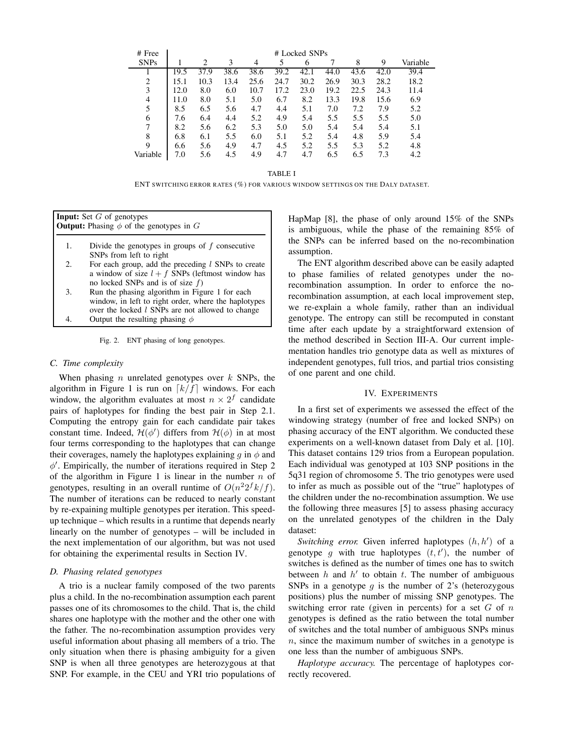| # Free      |      |      |      |      |      | # Locked SNPs |      |      |      |          |
|-------------|------|------|------|------|------|---------------|------|------|------|----------|
| <b>SNPs</b> |      | 2    | 3    | 4    |      | 6             |      | 8    | 9    | Variable |
|             | 19.5 | 37.9 | 38.6 | 38.6 | 39.2 | 42.1          | 44.0 | 43.6 | 42.0 | 39.4     |
| 2           | 15.1 | 10.3 | 13.4 | 25.6 | 24.7 | 30.2          | 26.9 | 30.3 | 28.2 | 18.2     |
| 3           | 12.0 | 8.0  | 6.0  | 10.7 | 17.2 | 23.0          | 19.2 | 22.5 | 24.3 | 11.4     |
| 4           | 11.0 | 8.0  | 5.1  | 5.0  | 6.7  | 8.2           | 13.3 | 19.8 | 15.6 | 6.9      |
| 5           | 8.5  | 6.5  | 5.6  | 4.7  | 4.4  | 5.1           | 7.0  | 7.2  | 7.9  | 5.2      |
| 6           | 7.6  | 6.4  | 4.4  | 5.2  | 4.9  | 5.4           | 5.5  | 5.5  | 5.5  | 5.0      |
| 7           | 8.2  | 5.6  | 6.2  | 5.3  | 5.0  | 5.0           | 5.4  | 5.4  | 5.4  | 5.1      |
| 8           | 6.8  | 6.1  | 5.5  | 6.0  | 5.1  | 5.2           | 5.4  | 4.8  | 5.9  | 5.4      |
| 9           | 6.6  | 5.6  | 4.9  | 4.7  | 4.5  | 5.2           | 5.5  | 5.3  | 5.2  | 4.8      |
| Variable    | 7.0  | 5.6  | 4.5  | 4.9  | 4.7  | 4.7           | 6.5  | 6.5  | 7.3  | 4.2      |
|             |      |      |      |      |      |               |      |      |      |          |

TABLE I

ENT SWITCHING ERROR RATES (%) FOR VARIOUS WINDOW SETTINGS ON THE DALY DATASET.

**Input:** Set G of genotypes **Output:** Phasing  $\phi$  of the genotypes in G

- 1. Divide the genotypes in groups of f consecutive SNPs from left to right
- 2. For each group, add the preceding  $l$  SNPs to create a window of size  $l + f$  SNPs (leftmost window has no locked SNPs and is of size  $f$ )
- 3. Run the phasing algorithm in Figure 1 for each window, in left to right order, where the haplotypes over the locked l SNPs are not allowed to change
- 4. Output the resulting phasing  $\phi$

Fig. 2. ENT phasing of long genotypes.

# *C. Time complexity*

When phasing  $n$  unrelated genotypes over  $k$  SNPs, the algorithm in Figure 1 is run on  $\lfloor k/f \rfloor$  windows. For each window, the algorithm evaluates at most  $n \times 2^f$  candidate pairs of haplotypes for finding the best pair in Step 2.1. Computing the entropy gain for each candidate pair takes constant time. Indeed,  $\mathcal{H}(\phi')$  differs from  $\mathcal{H}(\phi)$  in at most<br>four terms corresponding to the haplotynes that can change four terms corresponding to the haplotypes that can change their coverages, namely the haplotypes explaining q in  $\phi$  and  $\phi'$ . Empirically, the number of iterations required in Step 2<br>of the algorithm in Figure 1 is linear in the number n of of the algorithm in Figure 1 is linear in the number  $n$  of genotypes, resulting in an overall runtime of  $O(n^2 2^f k/f)$ . The number of iterations can be reduced to nearly constant by re-expaining multiple genotypes per iteration. This speedup technique – which results in a runtime that depends nearly linearly on the number of genotypes – will be included in the next implementation of our algorithm, but was not used for obtaining the experimental results in Section IV.

# *D. Phasing related genotypes*

A trio is a nuclear family composed of the two parents plus a child. In the no-recombination assumption each parent passes one of its chromosomes to the child. That is, the child shares one haplotype with the mother and the other one with the father. The no-recombination assumption provides very useful information about phasing all members of a trio. The only situation when there is phasing ambiguity for a given SNP is when all three genotypes are heterozygous at that SNP. For example, in the CEU and YRI trio populations of HapMap [8], the phase of only around 15% of the SNPs is ambiguous, while the phase of the remaining 85% of the SNPs can be inferred based on the no-recombination assumption.

The ENT algorithm described above can be easily adapted to phase families of related genotypes under the norecombination assumption. In order to enforce the norecombination assumption, at each local improvement step, we re-explain a whole family, rather than an individual genotype. The entropy can still be recomputed in constant time after each update by a straightforward extension of the method described in Section III-A. Our current implementation handles trio genotype data as well as mixtures of independent genotypes, full trios, and partial trios consisting of one parent and one child.

### IV. EXPERIMENTS

In a first set of experiments we assessed the effect of the windowing strategy (number of free and locked SNPs) on phasing accuracy of the ENT algorithm. We conducted these experiments on a well-known dataset from Daly et al. [10]. This dataset contains 129 trios from a European population. Each individual was genotyped at 103 SNP positions in the 5q31 region of chromosome 5. The trio genotypes were used to infer as much as possible out of the "true" haplotypes of the children under the no-recombination assumption. We use the following three measures [5] to assess phasing accuracy on the unrelated genotypes of the children in the Daly dataset:

*Switching error.* Given inferred haplotypes  $(h, h')$  of a notype a with true haplotypes  $(f, f')$  the number of genotype g with true haplotypes  $(t, t')$ , the number of switches is defined as the number of times one has to switch switches is defined as the number of times one has to switch between h and h' to obtain t. The number of ambiguous<br>SNPs in a genotype q is the number of 2's (beterozygous SNPs in a genotype  $q$  is the number of 2's (heterozygous positions) plus the number of missing SNP genotypes. The switching error rate (given in percents) for a set  $G$  of  $n$ genotypes is defined as the ratio between the total number of switches and the total number of ambiguous SNPs minus  $n$ , since the maximum number of switches in a genotype is one less than the number of ambiguous SNPs.

*Haplotype accuracy.* The percentage of haplotypes correctly recovered.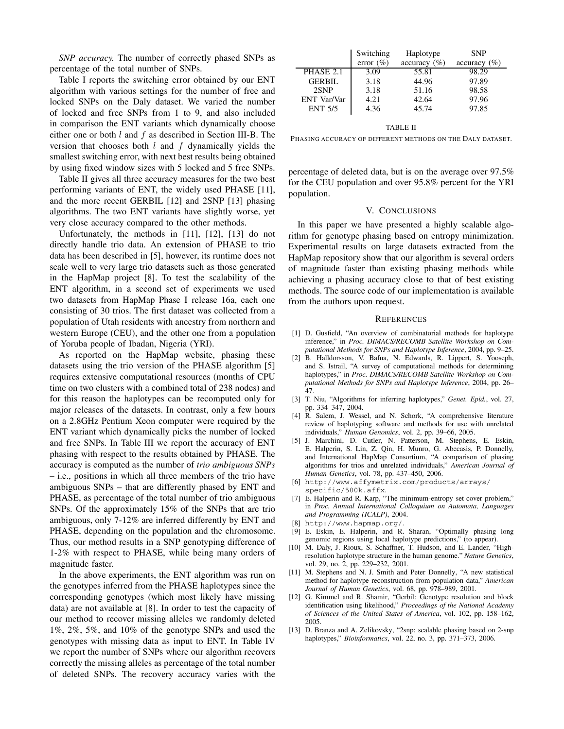*SNP accuracy.* The number of correctly phased SNPs as percentage of the total number of SNPs.

Table I reports the switching error obtained by our ENT algorithm with various settings for the number of free and locked SNPs on the Daly dataset. We varied the number of locked and free SNPs from 1 to 9, and also included in comparison the ENT variants which dynamically choose either one or both  $l$  and  $f$  as described in Section III-B. The version that chooses both  $l$  and  $f$  dynamically yields the smallest switching error, with next best results being obtained by using fixed window sizes with 5 locked and 5 free SNPs.

Table II gives all three accuracy measures for the two best performing variants of ENT, the widely used PHASE [11], and the more recent GERBIL [12] and 2SNP [13] phasing algorithms. The two ENT variants have slightly worse, yet very close accuracy compared to the other methods.

Unfortunately, the methods in [11], [12], [13] do not directly handle trio data. An extension of PHASE to trio data has been described in [5], however, its runtime does not scale well to very large trio datasets such as those generated in the HapMap project [8]. To test the scalability of the ENT algorithm, in a second set of experiments we used two datasets from HapMap Phase I release 16a, each one consisting of 30 trios. The first dataset was collected from a population of Utah residents with ancestry from northern and western Europe (CEU), and the other one from a population of Yoruba people of Ibadan, Nigeria (YRI).

As reported on the HapMap website, phasing these datasets using the trio version of the PHASE algorithm [5] requires extensive computational resources (months of CPU time on two clusters with a combined total of 238 nodes) and for this reason the haplotypes can be recomputed only for major releases of the datasets. In contrast, only a few hours on a 2.8GHz Pentium Xeon computer were required by the ENT variant which dynamically picks the number of locked and free SNPs. In Table III we report the accuracy of ENT phasing with respect to the results obtained by PHASE. The accuracy is computed as the number of *trio ambiguous SNPs* – i.e., positions in which all three members of the trio have ambiguous SNPs – that are differently phased by ENT and PHASE, as percentage of the total number of trio ambiguous SNPs. Of the approximately 15% of the SNPs that are trio ambiguous, only 7-12% are inferred differently by ENT and PHASE, depending on the population and the chromosome. Thus, our method results in a SNP genotyping difference of 1-2% with respect to PHASE, while being many orders of magnitude faster.

In the above experiments, the ENT algorithm was run on the genotypes inferred from the PHASE haplotypes since the corresponding genotypes (which most likely have missing data) are not available at [8]. In order to test the capacity of our method to recover missing alleles we randomly deleted 1%, 2%, 5%, and 10% of the genotype SNPs and used the genotypes with missing data as input to ENT. In Table IV we report the number of SNPs where our algorithm recovers correctly the missing alleles as percentage of the total number of deleted SNPs. The recovery accuracy varies with the

|                    | Switching<br>error $(\%)$ | Haplotype<br>accuracy $(\%)$ | <b>SNP</b><br>accuracy $(\% )$ |
|--------------------|---------------------------|------------------------------|--------------------------------|
| PHASE 2.1          | 3.09                      | 55.81                        | 98.29                          |
| <b>GERBIL</b>      | 3.18                      | 44.96                        | 97.89                          |
| 2SNP               | 3.18                      | 51.16                        | 98.58                          |
| <b>ENT</b> Var/Var | 4.21                      | 42.64                        | 97.96                          |
| <b>ENT 5/5</b>     | 4.36                      | 45.74                        | 97.85                          |

#### TABLE II

PHASING ACCURACY OF DIFFERENT METHODS ON THE DALY DATASET.

percentage of deleted data, but is on the average over 97.5% for the CEU population and over 95.8% percent for the YRI population.

## V. CONCLUSIONS

In this paper we have presented a highly scalable algorithm for genotype phasing based on entropy minimization. Experimental results on large datasets extracted from the HapMap repository show that our algorithm is several orders of magnitude faster than existing phasing methods while achieving a phasing accuracy close to that of best existing methods. The source code of our implementation is available from the authors upon request.

#### **REFERENCES**

- [1] D. Gusfield, "An overview of combinatorial methods for haplotype inference," in *Proc. DIMACS/RECOMB Satellite Workshop on Computational Methods for SNPs and Haplotype Inference*, 2004, pp. 9–25.
- [2] B. Halldorsson, V. Bafna, N. Edwards, R. Lippert, S. Yooseph, and S. Istrail, "A survey of computational methods for determining haplotypes," in *Proc. DIMACS/RECOMB Satellite Workshop on Computational Methods for SNPs and Haplotype Inference*, 2004, pp. 26– 47.
- [3] T. Niu, "Algorithms for inferring haplotypes," *Genet. Epid.*, vol. 27, pp. 334–347, 2004.
- [4] R. Salem, J. Wessel, and N. Schork, "A comprehensive literature review of haplotyping software and methods for use with unrelated individuals," *Human Genomics*, vol. 2, pp. 39–66, 2005.
- [5] J. Marchini, D. Cutler, N. Patterson, M. Stephens, E. Eskin, E. Halperin, S. Lin, Z. Qin, H. Munro, G. Abecasis, P. Donnelly, and International HapMap Consortium, "A comparison of phasing algorithms for trios and unrelated individuals," *American Journal of Human Genetics*, vol. 78, pp. 437–450, 2006.
- [6] http://www.affymetrix.com/products/arrays/ specific/500k.affx.
- [7] E. Halperin and R. Karp, "The minimum-entropy set cover problem," in *Proc. Annual International Colloquium on Automata, Languages and Programming (ICALP)*, 2004.
- [8] http://www.hapmap.org/.
- [9] E. Eskin, E. Halperin, and R. Sharan, "Optimally phasing long genomic regions using local haplotype predictions," (to appear).
- [10] M. Daly, J. Rioux, S. Schaffner, T. Hudson, and E. Lander, "Highresolution haplotype structure in the human genome." *Nature Genetics*, vol. 29, no. 2, pp. 229–232, 2001.
- [11] M. Stephens and N. J. Smith and Peter Donnelly, "A new statistical method for haplotype reconstruction from population data," *American Journal of Human Genetics*, vol. 68, pp. 978–989, 2001.
- [12] G. Kimmel and R. Shamir, "Gerbil: Genotype resolution and block identification using likelihood," *Proceedings of the National Academy of Sciences of the United States of America*, vol. 102, pp. 158–162, 2005.
- [13] D. Branza and A. Zelikovsky, "2snp: scalable phasing based on 2-snp haplotypes," *Bioinformatics*, vol. 22, no. 3, pp. 371–373, 2006.